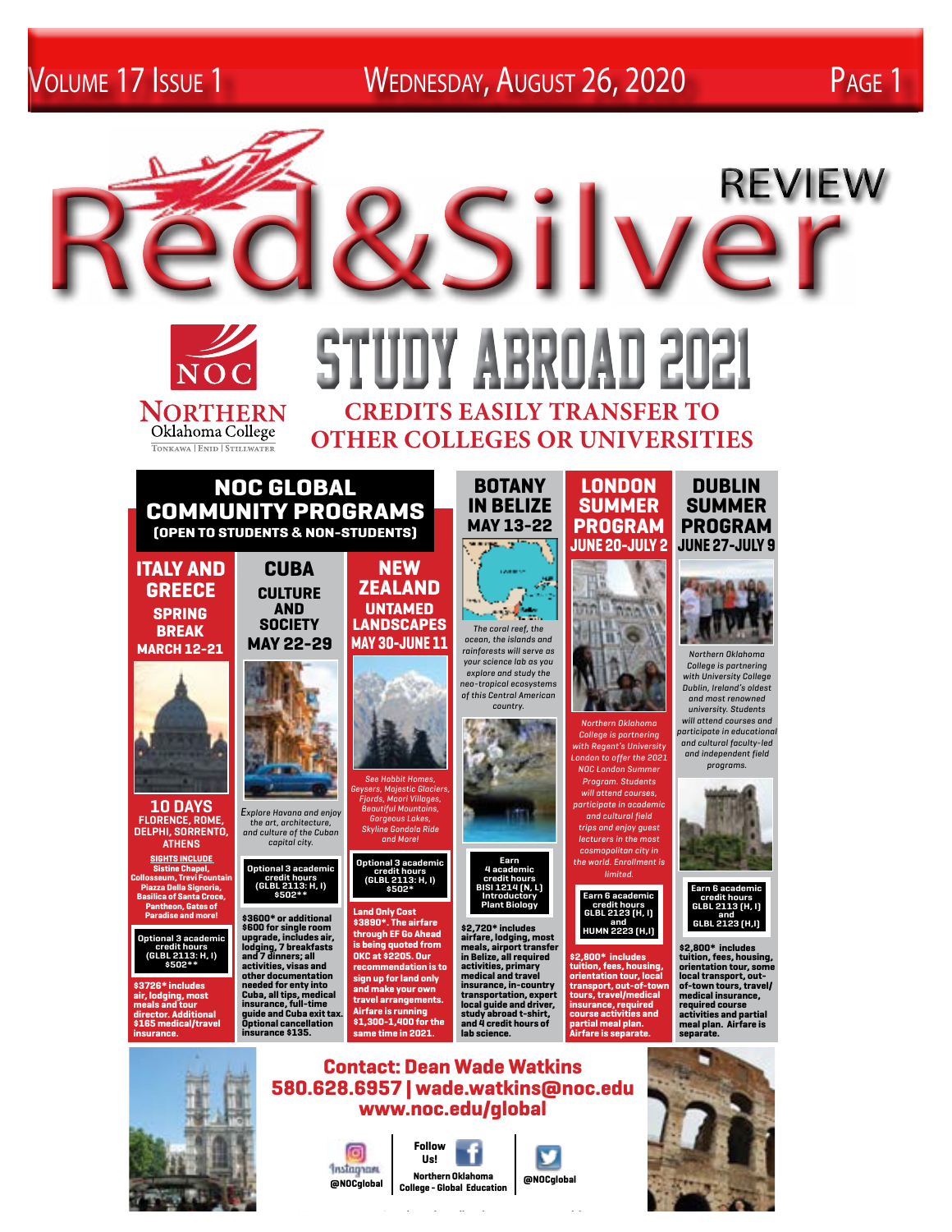Volume 17 Issue 1 Wednesday, August 26, 2020 Page 1



**www.noc.edu/global**